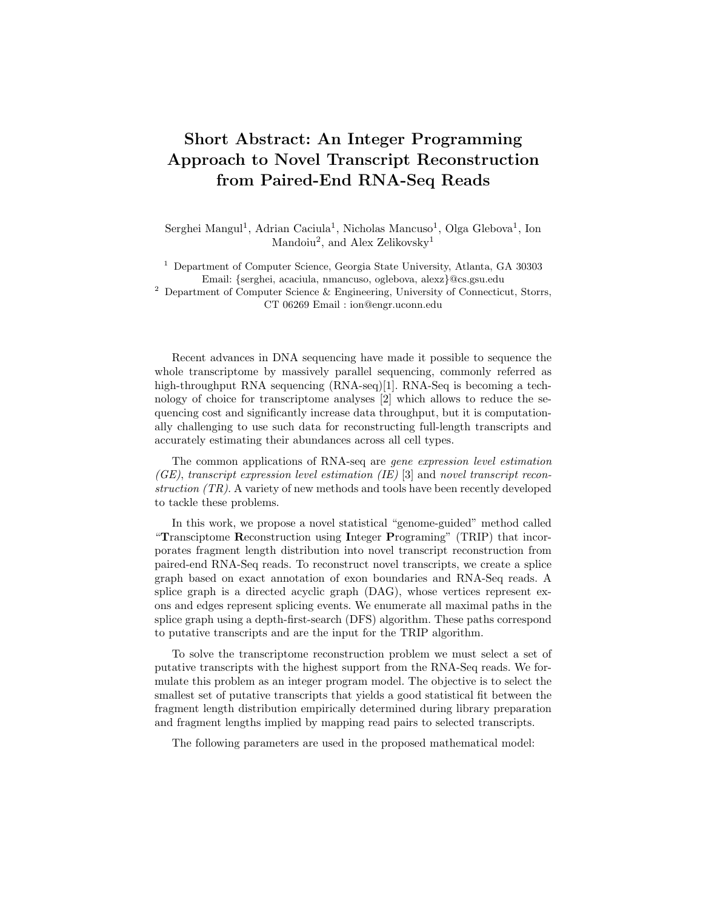## Short Abstract: An Integer Programming Approach to Novel Transcript Reconstruction from Paired-End RNA-Seq Reads

Serghei Mangul<sup>1</sup>, Adrian Caciula<sup>1</sup>, Nicholas Mancuso<sup>1</sup>, Olga Glebova<sup>1</sup>, Ion Mandoiu<sup>2</sup>, and Alex Zelikovsky<sup>1</sup>

<sup>1</sup> Department of Computer Science, Georgia State University, Atlanta, GA 30303 Email: {serghei, acaciula, nmancuso, oglebova, alexz}@cs.gsu.edu

<sup>2</sup> Department of Computer Science & Engineering, University of Connecticut, Storrs, CT 06269 Email : ion@engr.uconn.edu

Recent advances in DNA sequencing have made it possible to sequence the whole transcriptome by massively parallel sequencing, commonly referred as high-throughput RNA sequencing (RNA-seq)[1]. RNA-Seq is becoming a technology of choice for transcriptome analyses [2] which allows to reduce the sequencing cost and significantly increase data throughput, but it is computationally challenging to use such data for reconstructing full-length transcripts and accurately estimating their abundances across all cell types.

The common applications of RNA-seq are gene expression level estimation  $(GE)$ , transcript expression level estimation (IE) [3] and novel transcript reconstruction (TR). A variety of new methods and tools have been recently developed to tackle these problems.

In this work, we propose a novel statistical "genome-guided" method called "Transciptome Reconstruction using Integer Programing" (TRIP) that incorporates fragment length distribution into novel transcript reconstruction from paired-end RNA-Seq reads. To reconstruct novel transcripts, we create a splice graph based on exact annotation of exon boundaries and RNA-Seq reads. A splice graph is a directed acyclic graph (DAG), whose vertices represent exons and edges represent splicing events. We enumerate all maximal paths in the splice graph using a depth-first-search (DFS) algorithm. These paths correspond to putative transcripts and are the input for the TRIP algorithm.

To solve the transcriptome reconstruction problem we must select a set of putative transcripts with the highest support from the RNA-Seq reads. We formulate this problem as an integer program model. The objective is to select the smallest set of putative transcripts that yields a good statistical fit between the fragment length distribution empirically determined during library preparation and fragment lengths implied by mapping read pairs to selected transcripts.

The following parameters are used in the proposed mathematical model: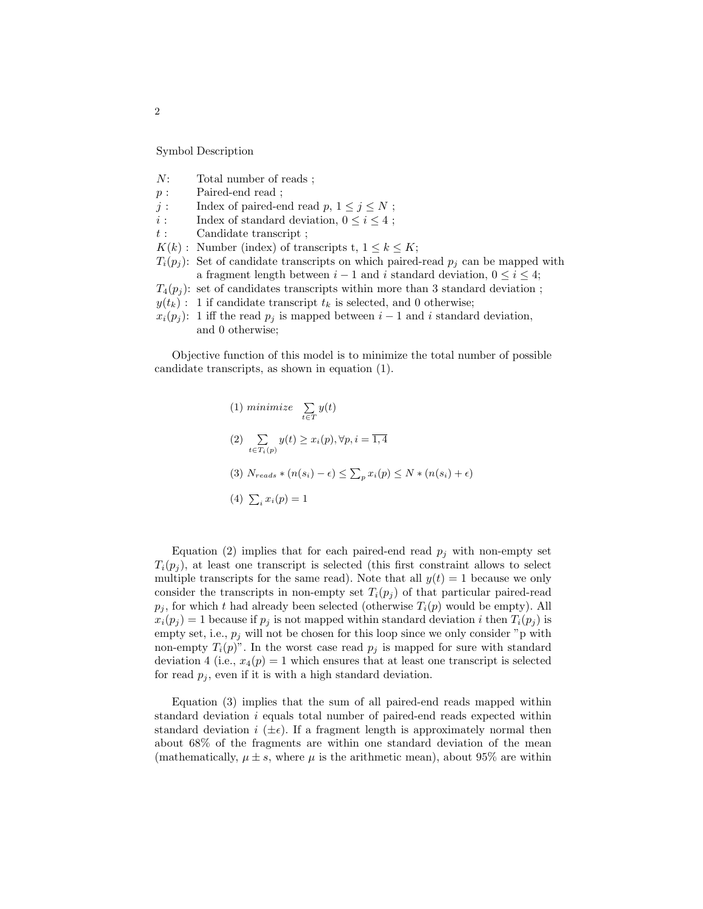Symbol Description

- N: Total number of reads ;
- p : Paired-end read ;
- $j$  : Index of paired-end read  $p,$   $1\leq j\leq N$  ;
- *i* : Index of standard deviation,  $0 \le i \le 4$ ;
- $t:$  Candidate transcript ;
- $K(k)$ : Number (index) of transcripts t,  $1 \leq k \leq K$ ;
- $T_i(p_i)$ : Set of candidate transcripts on which paired-read  $p_i$  can be mapped with a fragment length between  $i - 1$  and i standard deviation,  $0 \leq i \leq 4$ ;
- $T_4(p_j)$ : set of candidates transcripts within more than 3 standard deviation;
- $y(t_k)$ : 1 if candidate transcript  $t_k$  is selected, and 0 otherwise;
- $x_i(p_i)$ : 1 iff the read  $p_i$  is mapped between  $i-1$  and i standard deviation, and 0 otherwise;

Objective function of this model is to minimize the total number of possible candidate transcripts, as shown in equation (1).

(1) *minimize* 
$$
\sum_{t \in T} y(t)
$$
  
\n(2)  $\sum_{t \in T_i(p)} y(t) \ge x_i(p), \forall p, i = \overline{1, 4}$   
\n(3)  $N_{reads} * (n(s_i) - \epsilon) \le \sum_p x_i(p) \le N * (n(s_i) + \epsilon)$   
\n(4)  $\sum_i x_i(p) = 1$ 

Equation (2) implies that for each paired-end read  $p_j$  with non-empty set  $T_i(p_i)$ , at least one transcript is selected (this first constraint allows to select multiple transcripts for the same read). Note that all  $y(t) = 1$  because we only consider the transcripts in non-empty set  $T_i(p_i)$  of that particular paired-read  $p_i$ , for which t had already been selected (otherwise  $T_i(p)$  would be empty). All  $x_i(p_j) = 1$  because if  $p_j$  is not mapped within standard deviation i then  $T_i(p_j)$  is empty set, i.e.,  $p_j$  will not be chosen for this loop since we only consider "p with non-empty  $T_i(p)$ ". In the worst case read  $p_j$  is mapped for sure with standard deviation 4 (i.e.,  $x_4(p) = 1$  which ensures that at least one transcript is selected for read  $p_j$ , even if it is with a high standard deviation.

Equation (3) implies that the sum of all paired-end reads mapped within standard deviation  $i$  equals total number of paired-end reads expected within standard deviation  $i \ (\pm \epsilon)$ . If a fragment length is approximately normal then about 68% of the fragments are within one standard deviation of the mean (mathematically,  $\mu \pm s$ , where  $\mu$  is the arithmetic mean), about 95% are within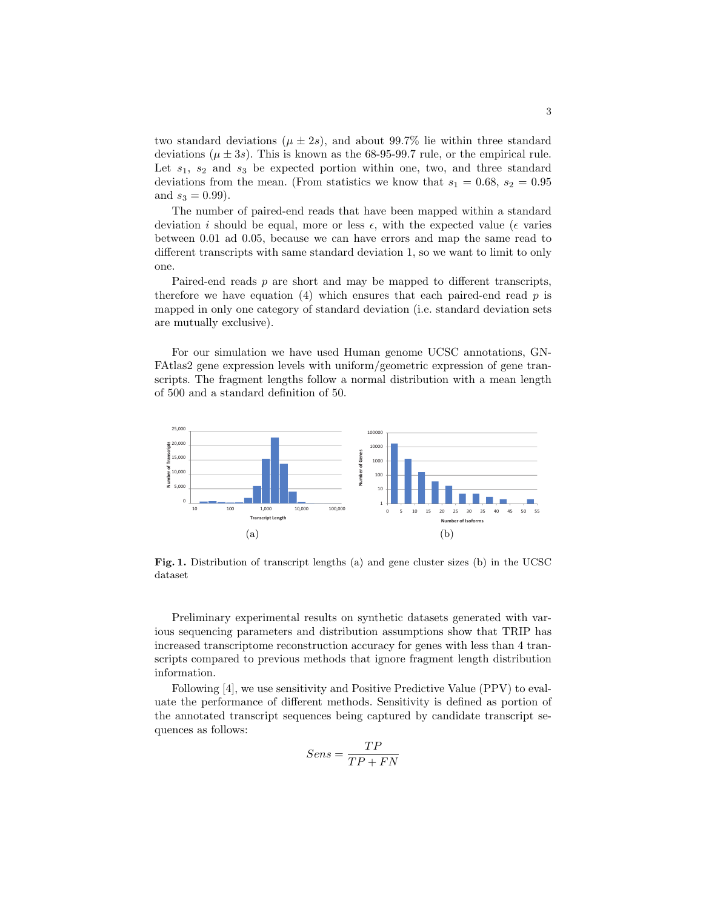two standard deviations ( $\mu \pm 2s$ ), and about 99.7% lie within three standard deviations ( $\mu \pm 3s$ ). This is known as the 68-95-99.7 rule, or the empirical rule. Let  $s_1$ ,  $s_2$  and  $s_3$  be expected portion within one, two, and three standard deviations from the mean. (From statistics we know that  $s_1 = 0.68$ ,  $s_2 = 0.95$ and  $s_3 = 0.99$ ).

The number of paired-end reads that have been mapped within a standard deviation i should be equal, more or less  $\epsilon$ , with the expected value ( $\epsilon$  varies between 0.01 ad 0.05, because we can have errors and map the same read to different transcripts with same standard deviation 1, so we want to limit to only one.

Paired-end reads p are short and may be mapped to different transcripts, therefore we have equation (4) which ensures that each paired-end read  $p$  is mapped in only one category of standard deviation (i.e. standard deviation sets are mutually exclusive).

For our simulation we have used Human genome UCSC annotations, GN-FAtlas2 gene expression levels with uniform/geometric expression of gene transcripts. The fragment lengths follow a normal distribution with a mean length of 500 and a standard definition of 50.



Fig. 1. Distribution of transcript lengths (a) and gene cluster sizes (b) in the UCSC dataset

Preliminary experimental results on synthetic datasets generated with various sequencing parameters and distribution assumptions show that TRIP has increased transcriptome reconstruction accuracy for genes with less than 4 transcripts compared to previous methods that ignore fragment length distribution information.

Following [4], we use sensitivity and Positive Predictive Value (PPV) to evaluate the performance of different methods. Sensitivity is defined as portion of the annotated transcript sequences being captured by candidate transcript sequences as follows:

$$
Sens = \frac{TP}{TP + FN}
$$